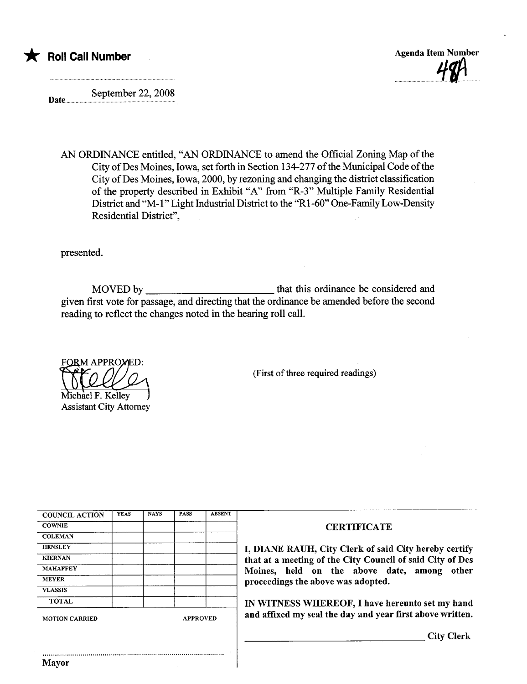



September 22, 2008 Date............

AN ORDINANCE entitled, "AN ORDINANCE to amend the Official Zoning Map of the City of Des Moines, Iowa, set forth in Section 134-277 of the Municipal Code of the City of Des Moines, Iowa, 2000, by rezoning and changing the district classification of the property described in Exhibit "A" from "R-3" Multiple Family Residential District and "M-1" Light Industrial District to the "R1-60" One-Family Low-Density Residential District",

presented.

MOVED by that this ordinance be considered and given first vote for passage, and directing that the ordinance be amended before the second reading to reflect the changes noted in the hearing roll call.

**FORM APPROMED:** 

Michael F. Kelley Assistant City Attorney

(First of three required readings)

| <b>COUNCIL ACTION</b> | <b>YEAS</b> | <b>NAYS</b> | <b>PASS</b> | <b>ABSENT</b> |
|-----------------------|-------------|-------------|-------------|---------------|
| <b>COWNIE</b>         |             |             |             |               |
| <b>COLEMAN</b>        |             |             |             |               |
| <b>HENSLEY</b>        |             |             |             |               |
| <b>KIERNAN</b>        |             |             |             |               |
| <b>MAHAFFEY</b>       |             |             |             |               |
| <b>MEYER</b>          |             |             |             |               |
| <b>VLASSIS</b>        |             |             |             |               |
| <b>TOTAL</b>          |             |             |             |               |

..........................................................................................

## **CERTIFICATE**

I, DIANE RAUH, City Clerk of said City hereby certify that at a meeting of the City Council of said City of Des Moines, held on the above date, among other proceedings the above was adopted.

IN WITNESS WHEREOF, I have hereunto set my hand MOTION CARRIED APPROVED **and affixed my seal the day and year first above written.** 

City Clerk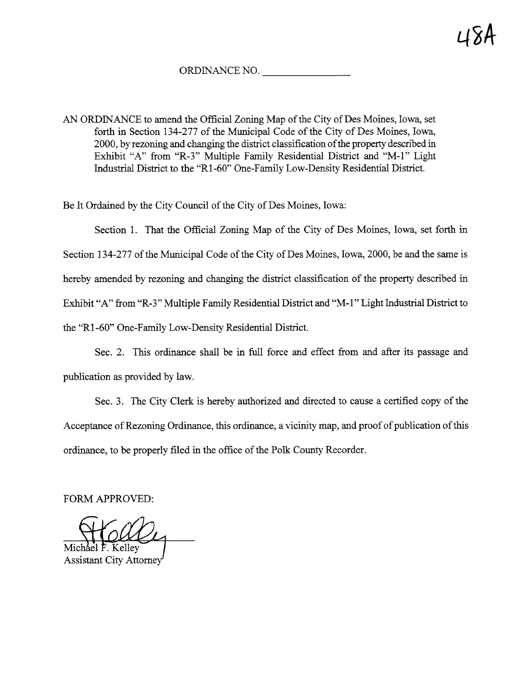ORDINANCE NO.

AN ORDINANCE to amend the Official Zoning Map of the City of Des Moines, Iowa, set forth in Section 134-277 of the Municipal Code of the City of Des Moines, Iowa, 2000, by rezoning and changing the district classification of the property described in Exhibit "A" from "R-3" Multiple Family Residential District and "M-1" Light Industrial District to the "R1-60" One-Family Low-Density Residential District.

Be It Ordained by the City Council of the City of Des Moines, Iowa:

Section 1. That the Official Zoning Map of the City of Des Moines, Iowa, set forth in Section 134-277 of the Municipal Code of the City of Des Moines, Iowa, 2000, be and the same is hereby amended by rezoning and changing the district classification of the property described in Exhibit "A" from "R-3" Multiple Family Residential District and "M-1" Light Industrial District to the "R1-60" One-Family Low-Density Residential District.

Sec. 2. This ordinance shall be in full force and effect from and after its passage and publication as provided by law.

Sec. 3. The City Clerk is hereby authorized and directed to cause a certified copy of the Acceptance of Rezoning Ordinance, this ordinance, a vicinity map, and proof of publication of this ordinance, to be properly filed in the office of the Polk County Recorder.

FORM APPROVED:

Michael F. Kelley

Assistant City Attome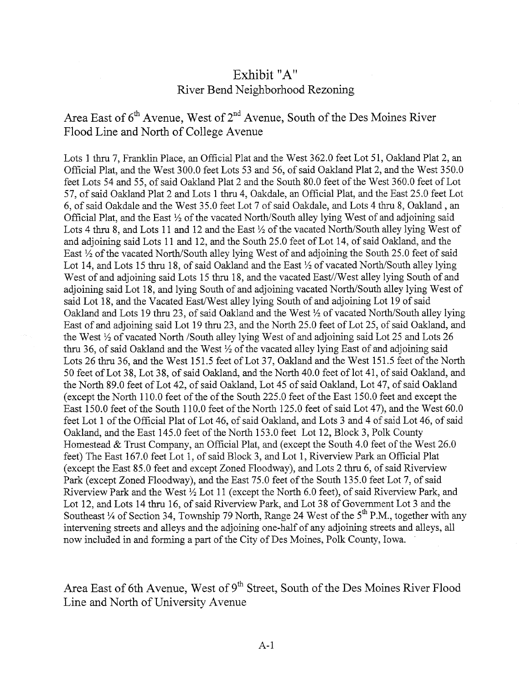## Exhibit "A" River Bend Neighborhood Rezonig

Area East of  $6<sup>th</sup>$  Avenue, West of  $2<sup>nd</sup>$  Avenue, South of the Des Moines River Flood Line and North of College Avenue

Lots 1 thru 7, Franklin Place, an Official Plat and the West 362.0 feet Lot 51, Oakland Plat 2, an Official Plat, and the West 300.0 feet Lots 53 and 56, of said Oakland Plat 2, and the West 350.0 feet Lots 54 and 55, of said Oakand Plat 2 and the South 80.0 feet of the West 360.0 feet of Lot 57, of said Oakland Plat 2 and Lots 1 thru 4, Oakdale, an Official Plat, and the East 25.0 feet Lot 6, of said Oakdale and the West 35.0 feet Lot 7 of said Oakdale, and Lots 4 thru 8, Oakland, an Official Plat, and the East  $\frac{1}{2}$  of the vacated North/South alley lying West of and adjoining said Lots 4 thru 8, and Lots 11 and 12 and the East  $\frac{1}{2}$  of the vacated North/South alley lying West of and adjoinig said Lots 11 and 12, and the South 25.0 feet of Lot 14, of said Oakand, and the East  $\frac{1}{2}$  of the vacated North/South alley lying West of and adjoining the South 25.0 feet of said Lot 14, and Lots 15 thru 18, of said Oakland and the East  $\frac{1}{2}$  of vacated North/South alley lying West of and adjoining said Lots 15 thru 18, and the vacated East//West alley lying South of and adjoining said Lot 18, and lying South of and adjoining vacated North/South alley lying West of said Lot 18, and the Vacated East/West alley lying South of and adjoining Lot 19 of said Oakland and Lots 19 thru 23, of said Oakland and the West  $\frac{1}{2}$  of vacated North/South alley lying East of and adjoining said Lot 19 thru 23, and the North 25.0 feet of Lot 25, of said Oakland, and the West 12 of vacated North /South alley lying West of and adjoining said Lot 25 and Lots 26 thru 36, of said Oakland and the West  $\frac{1}{2}$  of the vacated alley lying East of and adjoining said Lots 26 thru 36, and the West 151.5 feet of Lot 37, Oakland and the West 151.5 feet of the North 50 feet of Lot 38, Lot 38, of said Oakland, and the North 40.0 feet of lot 41, of said Oakland, and the North 89.0 feet of Lot 42, of said Oakland, Lot 45 of said Oakland, Lot 47, of said Oakland (except the North 110.0 feet of the of the South 225.0 feet of the East 150.0 feet and except the East 150.0 feet of the South 110.0 feet of the North 125.0 feet of said Lot 47), and the West 60.0 feet Lot 1 of the Official Plat of Lot 46, of said Oakland, and Lots 3 and 4 of said Lot 46, of said Oakland, and the East 145.0 feet of the North 153.0 feet Lot 12, Block 3, Polk County Homestead & Trust Company, an Official Plat, and (except the South 4.0 feet of the West 26.0 feet) The East 167.0 feet Lot 1, of said Block 3, and Lot 1, Riverview Park an Official Plat (except the East 85.0 feet and except Zoned Floodway), and Lots 2 thru 6, of said Riverview Park (except Zoned Floodway), and the East 75.0 feet of the South 135.0 feet Lot 7, of said Riverview Park and the West  $\frac{1}{2}$  Lot 11 (except the North 6.0 feet), of said Riverview Park, and Lot 12, and Lots 14 thru 16, of said Riverview Park, and Lot 38 of Government Lot 3 and the Southeast  $\frac{1}{4}$  of Section 34, Township 79 North, Range 24 West of the 5<sup>th</sup> P.M., together with any intervening streets and alleys and the adjoining one-half of any adjoining streets and alleys, all now included in and forming a part of the City of Des Moines, Polk County, Iowa.

Area East of 6th Avenue, West of  $9<sup>th</sup>$  Street, South of the Des Moines River Flood Line and North of University Avenue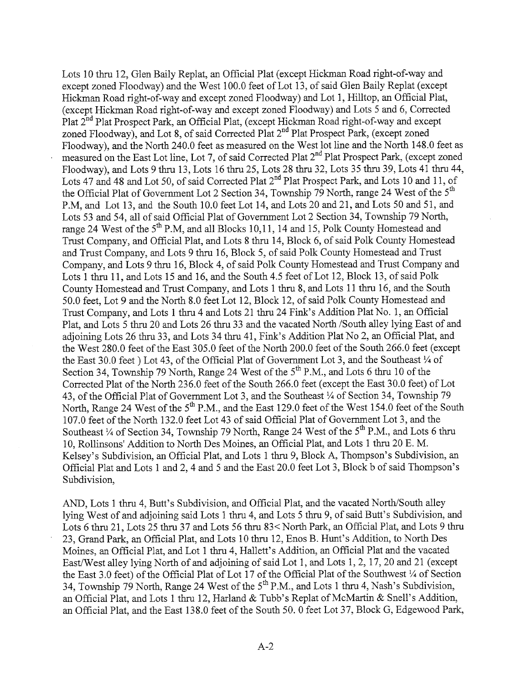Lots 10 thru 12, Glen Baily Replat, an Official Plat (except Hickman Road right-of-way and except zoned Floodway) and the West 100.0 feet of Lot 13, of said Glen Baily Replat (except Hickman Road right-of-way and except zoned Floodway) and Lot 1, Hilltop, an Official Plat, (except Hickman Road right-of-way and except zoned Floodway) and Lots 5 and 6, Corrected Plat 2<sup>nd</sup> Plat Prospect Park, an Official Plat, (except Hickman Road right-of-way and except zoned Floodway), and Lot 8, of said Corrected Plat 2<sup>nd</sup> Plat Prospect Park, (except zoned Floodway), and the North 240.0 feet as measured on the West lot line and the North 148.0 feet as measured on the East Lot line, Lot 7, of said Corrected Plat 2nd Plat Prospect Park, (except zoned Floodway), and Lots 9 thru 13, Lots 16 thru 25, Lots 28 thru 32, Lots 35 thru 39, Lots 41 thru 44, Lots 47 and 48 and Lot 50, of said Corrected Plat 2<sup>nd</sup> Plat Prospect Park, and Lots 10 and 11, of the Official Plat of Government Lot 2 Section 34, Township 79 North, range 24 West of the  $5<sup>th</sup>$ P.M, and Lot 13, and the South 10.0 feet Lot 14, and Lots 20 and 21, and Lots 50 and 51, and Lots 53 and 54, all of said Official Plat of Government Lot 2 Section 34, Township 79 North, range 24 West of the 5<sup>th</sup> P.M, and all Blocks 10,11, 14 and 15, Polk County Homestead and Trust Company, and Official Plat, and Lots 8 thru 14, Block 6, of said Polk County Homestead and Trust Company, and Lots 9 thru 16, Block 5, of said Polk County Homestead and Trust Company, and Lots 9 thru 16, Block 4, of said Polk County Homestead and Trust Company and Lots 1 thru 11, and Lots 15 and 16, and the South 4.5 feet of Lot 12, Block 13, of said Polk County Homestead and Trust Company, and Lots 1 thru 8, and Lots 11 thru 16, and the South 50.0 feet, Lot 9 and the North 8.0 feet Lot 12, Block 12, of said Polk County Homestead and Trust Company, and Lots 1 thru 4 and Lots 21 thru 24 Fink's Addition Plat No. 1, an Official Plat, and Lots 5 thru 20 and Lots 26 thru 33 and the vacated North /South alley lying East of and adjoining Lots 26 thru 33, and Lots 34 thru 41, Fink's Addition Plat No 2, an Official Plat, and the West 280.0 feet of the East 305.0 feet of the North 200.0 feet of the South 266.0 feet (except the East 30.0 feet) Lot 43, of the Official Plat of Government Lot 3, and the Southeast  $\frac{1}{4}$  of Section 34, Township 79 North, Range 24 West of the 5<sup>th</sup> P.M., and Lots 6 thru 10 of the Corrected Plat of the North 236.0 feet of the South 266.0 feet (except the East 30.0 feet) of Lot 43, of the Official Plat of Government Lot 3, and the Southeast  $\frac{1}{4}$  of Section 34, Township 79 North, Range 24 West of the 5<sup>th</sup> P.M., and the East 129.0 feet of the West 154.0 feet of the South 107.0 feet of the North 132.0 feet Lot 43 of said Official Plat of Government Lot 3, and the Southeast ¼ of Section 34, Township 79 North, Range 24 West of the 5<sup>th</sup> P.M., and Lots 6 thru 10, Rollinsons' Addition to North Des Moines, an Official Plat, and Lots 1 thru 20 E. M. Kelsey's Subdivision, an Official Plat, and Lots 1 thru 9, Block A, Thompson's Subdivision, an Official Plat and Lots 1 and 2, 4 and 5 and the East 20.0 feet Lot 3, Block b of said Thompson's Subdivision,

AND, Lots 1 thru 4, Butt's Subdivision, and Official Plat, and the vacated North/South alley lying West of and adjoining said Lots 1 thru 4, and Lots 5 thru 9, of said Butt's Subdivision, and Lots 6 thru 21, Lots 25 thru 37 and Lots 56 thru 83< North Park, an Official Plat, and Lots 9 thru 23, Grand Park, an Official Plat, and Lots 10 thru 12, Enos B. Hunt's Addition, to North Des Moines, an Official Plat, and Lot 1 thru 4, Hallett's Addition, an Official Plat and the vacated East/West alley lying North of and adjoining of said Lot 1, and Lots 1, 2, 17, 20 and 21 (except the East 3.0 feet) of the Official Plat of Lot 17 of the Official Plat of the Southwest  $\frac{1}{4}$  of Section 34, Township  $79$  North, Range 24 West of the  $5<sup>th</sup>$  P.M., and Lots 1 thru 4, Nash's Subdivision, an Official Plat, and Lots 1 thru 12, Harland & Tubb's Replat of McMartin & Snell's Addition, an Official Plat, and the East 138.0 feet of the South 50. 0 feet Lot 37, Block G, Edgewood Park,